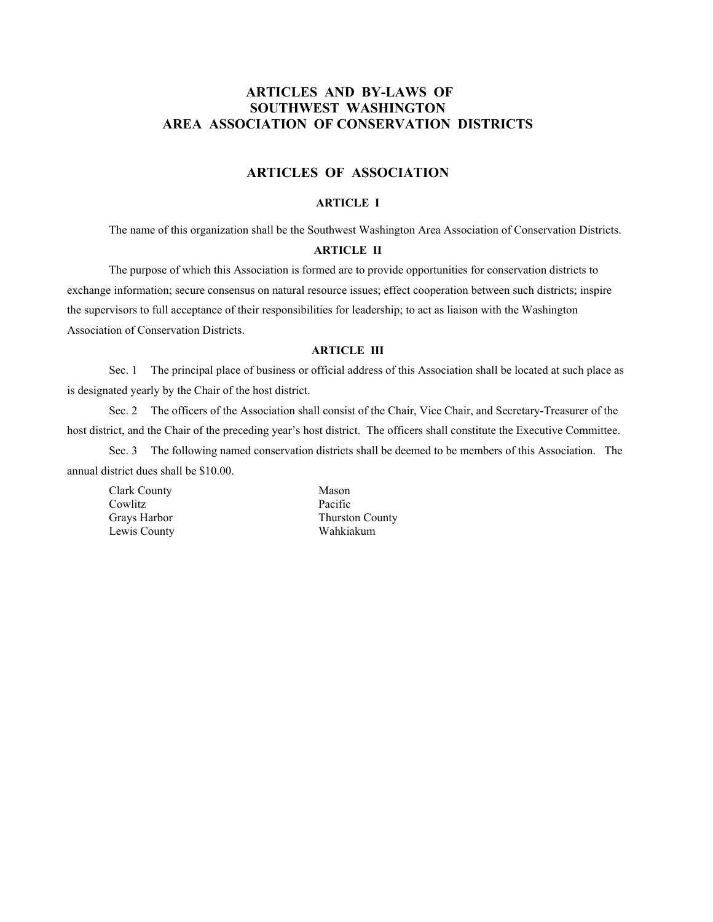# **ARTICLES AND BY-LAWS OF SOUTHWEST WASHINGTON AREA ASSOCIATION OF CONSERVATION DISTRICTS**

# **ARTICLES OF ASSOCIATION**

#### **ARTICLE I**

The name of this organization shall be the Southwest Washington Area Association of Conservation Districts.

## **ARTICLE II**

 The purpose of which this Association is formed are to provide opportunities for conservation districts to exchange information; secure consensus on natural resource issues; effect cooperation between such districts; inspire the supervisors to full acceptance of their responsibilities for leadership; to act as liaison with the Washington Association of Conservation Districts.

#### **ARTICLE III**

 Sec. 1 The principal place of business or official address of this Association shall be located at such place as is designated yearly by the Chair of the host district.

 Sec. 2 The officers of the Association shall consist of the Chair, Vice Chair, and Secretary-Treasurer of the host district, and the Chair of the preceding year's host district. The officers shall constitute the Executive Committee.

 Sec. 3 The following named conservation districts shall be deemed to be members of this Association. The annual district dues shall be \$10.00.

Clark County Mason Cowlitz Pacific Lewis County Wahkiakum

Grays Harbor Thurston County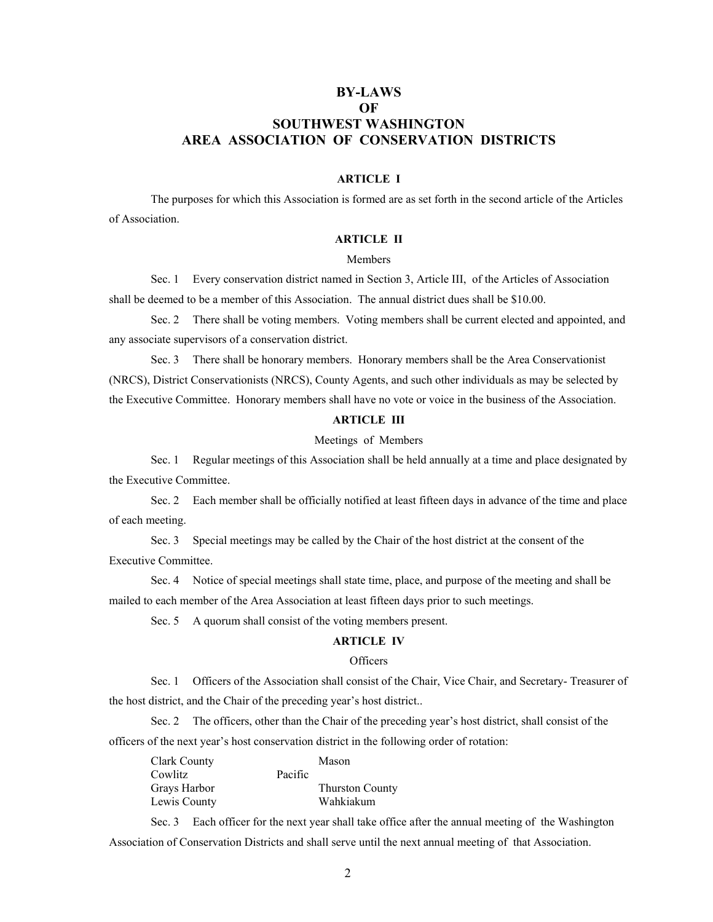# **BY-LAWS OF SOUTHWEST WASHINGTON AREA ASSOCIATION OF CONSERVATION DISTRICTS**

## **ARTICLE I**

The purposes for which this Association is formed are as set forth in the second article of the Articles of Association.

## **ARTICLE II**

#### Members

Sec. 1 Every conservation district named in Section 3, Article III, of the Articles of Association shall be deemed to be a member of this Association. The annual district dues shall be \$10.00.

Sec. 2 There shall be voting members. Voting members shall be current elected and appointed, and any associate supervisors of a conservation district.

Sec. 3 There shall be honorary members. Honorary members shall be the Area Conservationist (NRCS), District Conservationists (NRCS), County Agents, and such other individuals as may be selected by the Executive Committee. Honorary members shall have no vote or voice in the business of the Association.

#### **ARTICLE III**

#### Meetings of Members

Sec. 1 Regular meetings of this Association shall be held annually at a time and place designated by the Executive Committee.

Sec. 2 Each member shall be officially notified at least fifteen days in advance of the time and place of each meeting.

Sec. 3 Special meetings may be called by the Chair of the host district at the consent of the Executive Committee.

Sec. 4 Notice of special meetings shall state time, place, and purpose of the meeting and shall be mailed to each member of the Area Association at least fifteen days prior to such meetings.

Sec. 5 A quorum shall consist of the voting members present.

## **ARTICLE IV**

#### **Officers**

Sec. 1 Officers of the Association shall consist of the Chair, Vice Chair, and Secretary- Treasurer of the host district, and the Chair of the preceding year's host district..

Sec. 2 The officers, other than the Chair of the preceding year's host district, shall consist of the officers of the next year's host conservation district in the following order of rotation:

| Clark County |         | Mason                  |
|--------------|---------|------------------------|
| Cowlitz      | Pacific |                        |
| Grays Harbor |         | <b>Thurston County</b> |
| Lewis County |         | Wahkiakum              |

Sec. 3 Each officer for the next year shall take office after the annual meeting of the Washington Association of Conservation Districts and shall serve until the next annual meeting of that Association.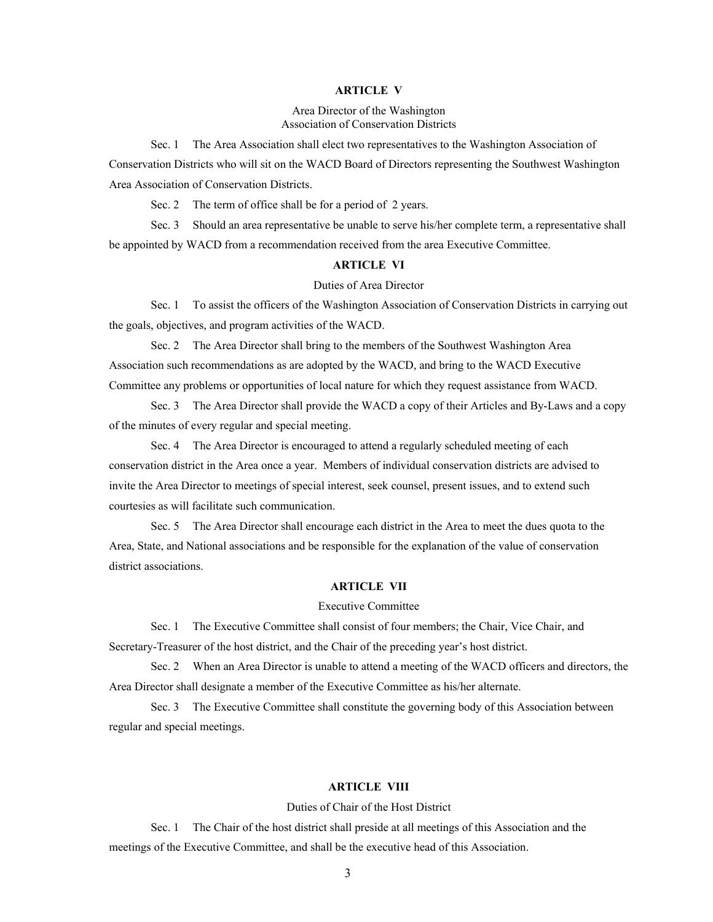#### **ARTICLE V**

Area Director of the Washington Association of Conservation Districts

Sec. 1 The Area Association shall elect two representatives to the Washington Association of Conservation Districts who will sit on the WACD Board of Directors representing the Southwest Washington Area Association of Conservation Districts.

Sec. 2 The term of office shall be for a period of 2 years.

Sec. 3 Should an area representative be unable to serve his/her complete term, a representative shall be appointed by WACD from a recommendation received from the area Executive Committee.

## **ARTICLE VI**

#### Duties of Area Director

Sec. 1 To assist the officers of the Washington Association of Conservation Districts in carrying out the goals, objectives, and program activities of the WACD.

Sec. 2 The Area Director shall bring to the members of the Southwest Washington Area Association such recommendations as are adopted by the WACD, and bring to the WACD Executive Committee any problems or opportunities of local nature for which they request assistance from WACD.

Sec. 3 The Area Director shall provide the WACD a copy of their Articles and By-Laws and a copy of the minutes of every regular and special meeting.

Sec. 4 The Area Director is encouraged to attend a regularly scheduled meeting of each conservation district in the Area once a year. Members of individual conservation districts are advised to invite the Area Director to meetings of special interest, seek counsel, present issues, and to extend such courtesies as will facilitate such communication.

Sec. 5 The Area Director shall encourage each district in the Area to meet the dues quota to the Area, State, and National associations and be responsible for the explanation of the value of conservation district associations.

#### **ARTICLE VII**

#### Executive Committee

Sec. 1 The Executive Committee shall consist of four members; the Chair, Vice Chair, and Secretary-Treasurer of the host district, and the Chair of the preceding year's host district.

Sec. 2 When an Area Director is unable to attend a meeting of the WACD officers and directors, the Area Director shall designate a member of the Executive Committee as his/her alternate.

Sec. 3 The Executive Committee shall constitute the governing body of this Association between regular and special meetings.

### **ARTICLE VIII**

## Duties of Chair of the Host District

Sec. 1 The Chair of the host district shall preside at all meetings of this Association and the meetings of the Executive Committee, and shall be the executive head of this Association.